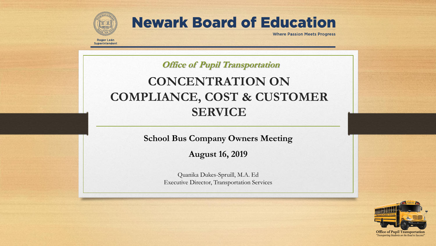

Roger León Superintendent **Newark Board of Education** 

**Where Passion Meets Progress** 

**Office of Pupil Transportation** 

## **CONCENTRATION ON COMPLIANCE, COST & CUSTOMER SERVICE**

**School Bus Company Owners Meeting**

**August 16, 2019**

Quanika Dukes-Spruill, M.A. Ed Executive Director, Transportation Services

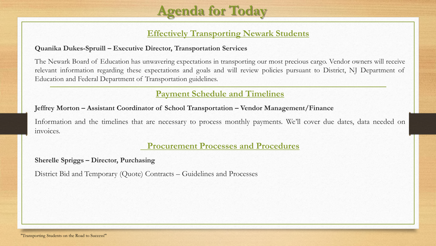

### **Effectively Transporting Newark Students**

#### **Quanika Dukes-Spruill – Executive Director, Transportation Services**

The Newark Board of Education has unwavering expectations in transporting our most precious cargo. Vendor owners will receive relevant information regarding these expectations and goals and will review policies pursuant to District, NJ Department of Education and Federal Department of Transportation guidelines.

### **Payment Schedule and Timelines**

#### **Jeffrey Morton – Assistant Coordinator of School Transportation – Vendor Management/Finance**

Information and the timelines that are necessary to process monthly payments. We'll cover due dates, data needed on invoices.

### **Procurement Processes and Procedures**

#### **Sherelle Spriggs – Director, Purchasing**

District Bid and Temporary (Quote) Contracts – Guidelines and Processes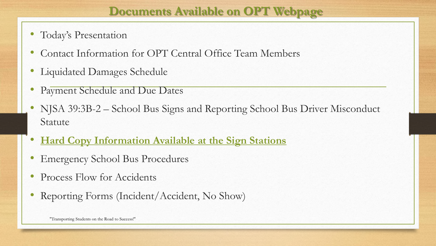### **Documents Available on OPT Webpage**

- Today's Presentation
- Contact Information for OPT Central Office Team Members
- Liquidated Damages Schedule
- Payment Schedule and Due Dates
- NJSA 39:3B-2 School Bus Signs and Reporting School Bus Driver Misconduct Statute
- **Hard Copy Information Available at the Sign Stations**
- Emergency School Bus Procedures
- Process Flow for Accidents
- Reporting Forms (Incident/Accident, No Show)

"Transporting Students on the Road to Success!"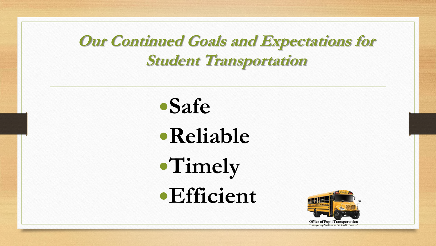**Our Continued Goals and Expectations for Student Transportation** 



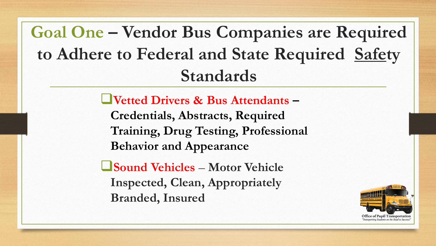**Goal One – Vendor Bus Companies are Required to Adhere to Federal and State Required Safety Standards**

**Vetted Drivers & Bus Attendants –**

**Credentials, Abstracts, Required Training, Drug Testing, Professional Behavior and Appearance**

**Sound Vehicles** – **Motor Vehicle Inspected, Clean, Appropriately Branded, Insured**

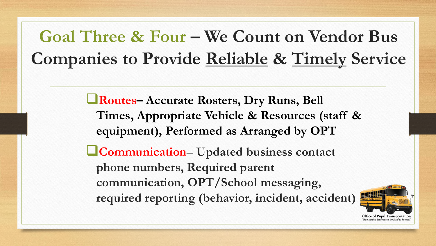# **Goal Three & Four – We Count on Vendor Bus Companies to Provide Reliable & Timely Service**

**Routes– Accurate Rosters, Dry Runs, Bell Times, Appropriate Vehicle & Resources (staff & equipment), Performed as Arranged by OPT Communication**– **Updated business contact phone numbers, Required parent communication, OPT/School messaging, required reporting (behavior, incident, accident)**

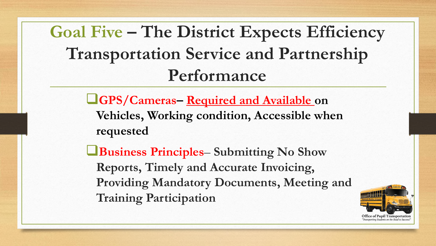**Goal Five – The District Expects Efficiency Transportation Service and Partnership Performance** 

> **GPS/Cameras– Required and Available on Vehicles, Working condition, Accessible when requested**

**Business Principles**– **Submitting No Show Reports, Timely and Accurate Invoicing, Providing Mandatory Documents, Meeting and Training Participation** 

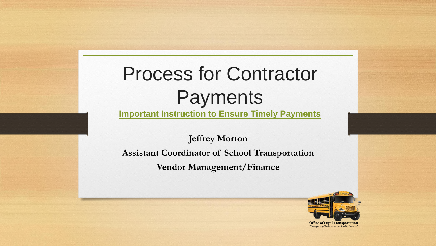# Process for Contractor Payments

**Important Instruction to Ensure Timely Payments**

**Jeffrey Morton Assistant Coordinator of School Transportation Vendor Management/Finance**



**Office of Pupil Transportation** "Transporting Students on the Road to Success.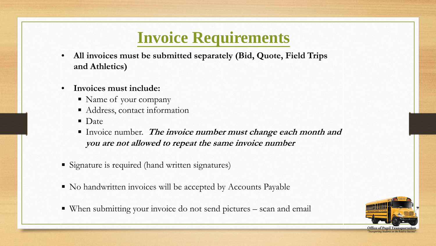## **Invoice Requirements**

- **All invoices must be submitted separately (Bid, Quote, Field Trips and Athletics)**
- **Invoices must include:**
	- Name of your company
	- Address, contact information
	- **Date**
	- **Invoice number.** The invoice number must change each month and **you are not allowed to repeat the same invoice number**
- Signature is required (hand written signatures)
- No handwritten invoices will be accepted by Accounts Payable
- When submitting your invoice do not send pictures scan and email



**Office of Pupil Trai**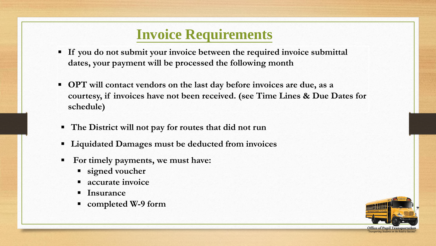## **Invoice Requirements**

- **If you do not submit your invoice between the required invoice submittal dates, your payment will be processed the following month**
- **OPT will contact vendors on the last day before invoices are due, as a courtesy, if invoices have not been received. (see Time Lines & Due Dates for schedule)**
- **The District will not pay for routes that did not run**
- **Liquidated Damages must be deducted from invoices**
- **For timely payments, we must have:** 
	- **signed voucher**
	- **accurate invoice**
	- **Insurance**
	- **completed W-9 form**

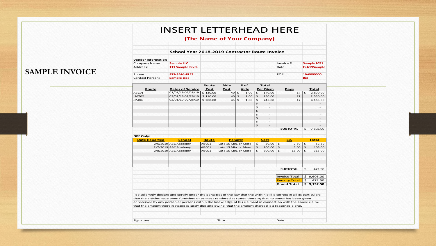#### INSERT LETTERHEAD HERE

#### **(The Name of Your Company)**

#### **School Year 2018-2019 Contractor Route Invoice**

| <b>Vendor Information</b> |                   |            |             |  |  |
|---------------------------|-------------------|------------|-------------|--|--|
| Company Name:             | <b>Sample LLC</b> | Invoice #: | Sample 1021 |  |  |
| Address:                  | 111 Sample Blvd.  | Date:      | Feb19Sample |  |  |
| Phone:                    | 973-SAM-PLES      | PO#        | 19-0000000  |  |  |
| <b>Contact Person:</b>    | <b>Sample Doe</b> |            | <b>Bid</b>  |  |  |

#### **SAMPLE INVOICE**

|                                                                                                                          |                         | Route        | Aide                 | # of           | Total                          |                      |                     |              |
|--------------------------------------------------------------------------------------------------------------------------|-------------------------|--------------|----------------------|----------------|--------------------------------|----------------------|---------------------|--------------|
| Route                                                                                                                    | <b>Dates of Service</b> | Cost         | Cost                 | Aide           | Per Diem                       | Days                 |                     | Total        |
| ABC01                                                                                                                    | 02/01/19-02/28/19       | \$130.00     | 40                   | \$<br>1.00     | \$<br>170.00                   | 17                   | $\ddot{\mathbf{S}}$ | 2,890.00     |
| LMT02                                                                                                                    | 02/01/19-02/28/19       | \$110.00     | 40                   | \$<br>1.00     | \$<br>150.00                   | 17                   |                     | 2,550.00     |
| JJM04                                                                                                                    | 02/01/19-02/28/19       | \$200.00     | 45                   | \$<br>1.00     | \$<br>245.00                   | 17                   |                     | 4,165.00     |
|                                                                                                                          |                         |              |                      |                | \$                             |                      |                     |              |
|                                                                                                                          |                         |              |                      |                | \$                             |                      |                     |              |
|                                                                                                                          |                         |              |                      |                | \$                             |                      |                     |              |
|                                                                                                                          |                         |              |                      |                | \$<br>$\overline{a}$           |                      |                     |              |
|                                                                                                                          |                         |              |                      |                | \$<br>$\overline{\phantom{0}}$ |                      |                     |              |
|                                                                                                                          |                         |              |                      |                | \$<br>$\overline{\phantom{0}}$ |                      |                     |              |
|                                                                                                                          |                         |              |                      |                | \$                             |                      |                     |              |
|                                                                                                                          |                         |              |                      |                |                                | <b>SUBTOTAL</b>      | \$                  | 9,605.00     |
|                                                                                                                          |                         |              |                      |                |                                |                      |                     |              |
| <b>NBE Only:</b>                                                                                                         |                         |              |                      |                |                                |                      |                     |              |
| <b>Date Reported</b>                                                                                                     | <b>School</b>           | <b>Route</b> |                      | <b>Penalty</b> | <b>Cost</b>                    | 5%                   |                     | <b>Total</b> |
|                                                                                                                          | 2/6/2019 ABC Academy    | ABC01        | Late 15 Min. or More |                | \$<br>50.00                    | \$<br>2.50           | \$                  | 52.50        |
|                                                                                                                          | 2/7/2019 ABC Academy    | ABC01        | Late 15 Min. or More |                | \$<br>100.00                   | \$<br>5.00           | \$                  | 105.00       |
|                                                                                                                          | 2/8/2019 ABC Academy    | ABC01        | Late 15 Min. or More |                | $\mathsf{S}$<br>300.00         | \$<br>15.00          | \$                  | 315.00       |
|                                                                                                                          |                         |              |                      |                |                                |                      |                     |              |
|                                                                                                                          |                         |              |                      |                |                                |                      |                     |              |
|                                                                                                                          |                         |              |                      |                |                                |                      |                     |              |
|                                                                                                                          |                         |              |                      |                |                                |                      |                     |              |
|                                                                                                                          |                         |              |                      |                |                                | <b>SUBTOTAL</b>      | \$                  | 472.50       |
|                                                                                                                          |                         |              |                      |                |                                |                      |                     |              |
|                                                                                                                          |                         |              |                      |                |                                | <b>Invoice Total</b> |                     | \$9,605.00   |
|                                                                                                                          |                         |              |                      |                |                                | <b>Penalty Total</b> | \$                  | 472.50       |
|                                                                                                                          |                         |              |                      |                |                                | <b>Grand Total</b>   |                     | \$9,132.50   |
|                                                                                                                          |                         |              |                      |                |                                |                      |                     |              |
|                                                                                                                          |                         |              |                      |                |                                |                      |                     |              |
| I do solemnly declare and certify under the penalties of the law that the within bill is correct in all its particulars; |                         |              |                      |                |                                |                      |                     |              |
| that the articles have been furnished or services rendered as stated therein; that no bonus has been given               |                         |              |                      |                |                                |                      |                     |              |
| or received by any person or persons within the knowledge of his claimant in connection with the above claim,            |                         |              |                      |                |                                |                      |                     |              |
| that the amount therein stated is justly due and owing, that the amount charged is a reasonable one.                     |                         |              |                      |                |                                |                      |                     |              |
|                                                                                                                          |                         |              |                      |                |                                |                      |                     |              |
|                                                                                                                          |                         |              |                      |                |                                |                      |                     |              |
|                                                                                                                          |                         |              |                      |                |                                |                      |                     |              |
| Signature                                                                                                                |                         |              | Title                |                |                                | Date                 |                     |              |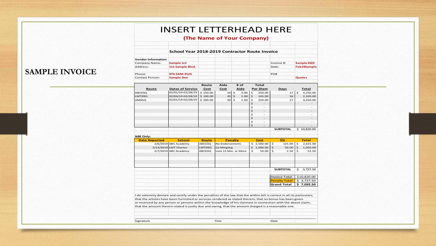| <b>School Year 2018-2019 Contractor Route Invoice</b><br><b>Vendor Information</b><br><b>Sample LLC</b><br>Invoice #:<br>Company Name:<br>111 Sample Blvd.<br>Address:<br>Date:<br><b>SAMPLE INVOICE</b><br>973-SAM-PLES<br>Phone:<br>PO#<br><b>Contact Person:</b><br><b>Sample Doe</b><br><b>Quotes</b><br>Aide<br># of<br>Total<br>Route<br>Cost<br>Per Diem<br>Route<br><b>Dates of Service</b><br>Cost<br>Aide<br>Days<br>02/01/19-02/28/19<br>$17 \mid 5$<br>\$150.00<br>$50 \mid 5$<br>$\mathsf{S}$<br>250.00<br>ABC03Q<br>2.00<br>02/04/19-02/28/19<br>$\boldsymbol{\mathsf{S}}$<br>LMT09Q<br>\$100.00<br>45<br>1.00<br>145.00<br>16<br>$\frac{1}{2}$<br>02/01/19-02/28/19<br>\$200.00<br>50<br>$\mathsf{S}$<br>1.00<br>250.00<br>17<br>JJM05Q<br>$\mathsf{S}$<br>$\mathsf{S}$<br>$\overline{\phantom{a}}$<br>\$.<br>$\sim$<br>$\ddot{\mathbf{5}}$<br>$\overline{a}$<br>\$<br>$\overline{\phantom{a}}$<br>\$<br>$\overline{a}$<br>\$<br>$\overline{\phantom{a}}$ |                          |
|--------------------------------------------------------------------------------------------------------------------------------------------------------------------------------------------------------------------------------------------------------------------------------------------------------------------------------------------------------------------------------------------------------------------------------------------------------------------------------------------------------------------------------------------------------------------------------------------------------------------------------------------------------------------------------------------------------------------------------------------------------------------------------------------------------------------------------------------------------------------------------------------------------------------------------------------------------------------------|--------------------------|
|                                                                                                                                                                                                                                                                                                                                                                                                                                                                                                                                                                                                                                                                                                                                                                                                                                                                                                                                                                          |                          |
|                                                                                                                                                                                                                                                                                                                                                                                                                                                                                                                                                                                                                                                                                                                                                                                                                                                                                                                                                                          |                          |
|                                                                                                                                                                                                                                                                                                                                                                                                                                                                                                                                                                                                                                                                                                                                                                                                                                                                                                                                                                          | Sample 1022              |
|                                                                                                                                                                                                                                                                                                                                                                                                                                                                                                                                                                                                                                                                                                                                                                                                                                                                                                                                                                          | Feb19Sample              |
|                                                                                                                                                                                                                                                                                                                                                                                                                                                                                                                                                                                                                                                                                                                                                                                                                                                                                                                                                                          |                          |
|                                                                                                                                                                                                                                                                                                                                                                                                                                                                                                                                                                                                                                                                                                                                                                                                                                                                                                                                                                          |                          |
|                                                                                                                                                                                                                                                                                                                                                                                                                                                                                                                                                                                                                                                                                                                                                                                                                                                                                                                                                                          |                          |
|                                                                                                                                                                                                                                                                                                                                                                                                                                                                                                                                                                                                                                                                                                                                                                                                                                                                                                                                                                          |                          |
|                                                                                                                                                                                                                                                                                                                                                                                                                                                                                                                                                                                                                                                                                                                                                                                                                                                                                                                                                                          | Total                    |
|                                                                                                                                                                                                                                                                                                                                                                                                                                                                                                                                                                                                                                                                                                                                                                                                                                                                                                                                                                          | 4,250.00                 |
|                                                                                                                                                                                                                                                                                                                                                                                                                                                                                                                                                                                                                                                                                                                                                                                                                                                                                                                                                                          | 2,320.00                 |
|                                                                                                                                                                                                                                                                                                                                                                                                                                                                                                                                                                                                                                                                                                                                                                                                                                                                                                                                                                          | 4,250.00                 |
|                                                                                                                                                                                                                                                                                                                                                                                                                                                                                                                                                                                                                                                                                                                                                                                                                                                                                                                                                                          | $\sim$                   |
|                                                                                                                                                                                                                                                                                                                                                                                                                                                                                                                                                                                                                                                                                                                                                                                                                                                                                                                                                                          | $\overline{\phantom{a}}$ |
|                                                                                                                                                                                                                                                                                                                                                                                                                                                                                                                                                                                                                                                                                                                                                                                                                                                                                                                                                                          |                          |
|                                                                                                                                                                                                                                                                                                                                                                                                                                                                                                                                                                                                                                                                                                                                                                                                                                                                                                                                                                          | $\overline{\phantom{a}}$ |
|                                                                                                                                                                                                                                                                                                                                                                                                                                                                                                                                                                                                                                                                                                                                                                                                                                                                                                                                                                          |                          |
|                                                                                                                                                                                                                                                                                                                                                                                                                                                                                                                                                                                                                                                                                                                                                                                                                                                                                                                                                                          | $\sim$                   |
| $\mathsf{S}$<br>$\sim$<br><b>SUBTOTAL</b>                                                                                                                                                                                                                                                                                                                                                                                                                                                                                                                                                                                                                                                                                                                                                                                                                                                                                                                                | \$10,820.00              |
|                                                                                                                                                                                                                                                                                                                                                                                                                                                                                                                                                                                                                                                                                                                                                                                                                                                                                                                                                                          |                          |
| <b>NBE Only:</b>                                                                                                                                                                                                                                                                                                                                                                                                                                                                                                                                                                                                                                                                                                                                                                                                                                                                                                                                                         |                          |
| <b>Date Reported</b><br>School<br>Penalty<br>Cost<br>5%<br>Route                                                                                                                                                                                                                                                                                                                                                                                                                                                                                                                                                                                                                                                                                                                                                                                                                                                                                                         | <b>Total</b>             |
| 2/6/2019 ABC Academy<br>ABC03Q<br>$$2,500.00$ \$<br>$125.00$ \$<br>No Endorsements                                                                                                                                                                                                                                                                                                                                                                                                                                                                                                                                                                                                                                                                                                                                                                                                                                                                                       | 2,625.00                 |
| $$1,000.00$ \$<br>$\ddot{\mathsf{s}}$<br>2/14/2019 LMT Charter<br>50.00<br>LMT09Q<br>Co-Mingling                                                                                                                                                                                                                                                                                                                                                                                                                                                                                                                                                                                                                                                                                                                                                                                                                                                                         | 1,050.00                 |
| $\mathsf{S}$<br>l s<br>2/7/2019 ABC Academy<br>ABC03Q<br>Late 15 Min. or More<br>50.00<br>2.50<br>$\mathsf{S}$                                                                                                                                                                                                                                                                                                                                                                                                                                                                                                                                                                                                                                                                                                                                                                                                                                                           | 52.50                    |
|                                                                                                                                                                                                                                                                                                                                                                                                                                                                                                                                                                                                                                                                                                                                                                                                                                                                                                                                                                          |                          |
|                                                                                                                                                                                                                                                                                                                                                                                                                                                                                                                                                                                                                                                                                                                                                                                                                                                                                                                                                                          |                          |
|                                                                                                                                                                                                                                                                                                                                                                                                                                                                                                                                                                                                                                                                                                                                                                                                                                                                                                                                                                          |                          |
| <b>SUBTOTAL</b>                                                                                                                                                                                                                                                                                                                                                                                                                                                                                                                                                                                                                                                                                                                                                                                                                                                                                                                                                          | \$3,727.50               |
|                                                                                                                                                                                                                                                                                                                                                                                                                                                                                                                                                                                                                                                                                                                                                                                                                                                                                                                                                                          |                          |
| <b>Invoice Total</b>                                                                                                                                                                                                                                                                                                                                                                                                                                                                                                                                                                                                                                                                                                                                                                                                                                                                                                                                                     | \$10,820.00              |
| <b>Penalty Total</b>                                                                                                                                                                                                                                                                                                                                                                                                                                                                                                                                                                                                                                                                                                                                                                                                                                                                                                                                                     | \$3,727.50               |
| Grand Total   \$ 7,092.50                                                                                                                                                                                                                                                                                                                                                                                                                                                                                                                                                                                                                                                                                                                                                                                                                                                                                                                                                |                          |
|                                                                                                                                                                                                                                                                                                                                                                                                                                                                                                                                                                                                                                                                                                                                                                                                                                                                                                                                                                          |                          |
| I do solemnly declare and certify under the penalties of the law that the within bill is correct in all its particulars;                                                                                                                                                                                                                                                                                                                                                                                                                                                                                                                                                                                                                                                                                                                                                                                                                                                 |                          |
| that the articles have been furnished or services rendered as stated therein; that no bonus has been given                                                                                                                                                                                                                                                                                                                                                                                                                                                                                                                                                                                                                                                                                                                                                                                                                                                               |                          |
| or received by any person or persons within the knowledge of his claimant in connection with the above claim,                                                                                                                                                                                                                                                                                                                                                                                                                                                                                                                                                                                                                                                                                                                                                                                                                                                            |                          |
| that the amount therein stated is justly due and owing, that the amount charged is a reasonable one.                                                                                                                                                                                                                                                                                                                                                                                                                                                                                                                                                                                                                                                                                                                                                                                                                                                                     |                          |
|                                                                                                                                                                                                                                                                                                                                                                                                                                                                                                                                                                                                                                                                                                                                                                                                                                                                                                                                                                          |                          |
|                                                                                                                                                                                                                                                                                                                                                                                                                                                                                                                                                                                                                                                                                                                                                                                                                                                                                                                                                                          |                          |
|                                                                                                                                                                                                                                                                                                                                                                                                                                                                                                                                                                                                                                                                                                                                                                                                                                                                                                                                                                          |                          |
| Signature<br>Title<br>Date                                                                                                                                                                                                                                                                                                                                                                                                                                                                                                                                                                                                                                                                                                                                                                                                                                                                                                                                               |                          |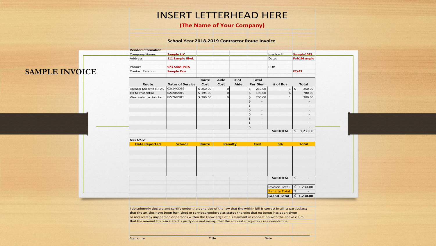### INSERT LETTERHEAD HERE

#### **(The Name of Your Company)**

#### **School Year 2018-2019 Contractor Route Invoice**

|                       | <b>Vendor Information</b> |                         |              |                |      |                          |                          |                                            |                     |                          |
|-----------------------|---------------------------|-------------------------|--------------|----------------|------|--------------------------|--------------------------|--------------------------------------------|---------------------|--------------------------|
|                       | <b>Company Name:</b>      | Sample LLC              |              |                |      |                          |                          | Invoice #:                                 |                     | Sample 1023              |
|                       | Address:                  | 111 Sample Blvd.        |              |                |      |                          |                          | Date:                                      |                     | Feb19Sample              |
|                       | Phone:                    | 973-SAM-PLES            |              |                |      |                          |                          | PO#                                        |                     |                          |
| <b>SAMPLE INVOICE</b> | <b>Contact Person:</b>    | <b>Sample Doe</b>       |              |                |      |                          |                          |                                            |                     | FT/AT                    |
|                       |                           |                         |              |                |      |                          |                          |                                            |                     |                          |
|                       |                           |                         | Route        | Aide           | # of |                          | Total                    |                                            |                     |                          |
|                       | Route                     | <b>Dates of Service</b> | Cost         | Cost           | Aide |                          | Per Diem                 | # of Bus                                   |                     | Total                    |
|                       | Spencer Miller to NJPAC   | 02/14/2019              | \$250.00     | $\mathbf 0$    |      | \$                       | 250.00                   |                                            | $1 \mid 5$          | 250.00                   |
|                       | JFK to Prudential         | 02/20/2019              | \$195.00     | $\mathbf{0}$   |      | $\boldsymbol{\varsigma}$ | 195.00                   |                                            | $\overline{4}$      | 780.00                   |
|                       | Weequahic to Hoboken      | 02/26/2019              | \$200.00     | $\mathbf 0$    |      | $\varsigma$              | 200.00                   |                                            | $\mathbf{1}$        | 200.00                   |
|                       |                           |                         |              |                |      | $\varsigma$              |                          |                                            |                     |                          |
|                       |                           |                         |              |                |      | \$                       |                          |                                            |                     |                          |
|                       |                           |                         |              |                |      | $\varsigma$              | $\overline{\phantom{a}}$ |                                            |                     | $\overline{\phantom{a}}$ |
|                       |                           |                         |              |                |      | $\frac{1}{2}$            |                          |                                            |                     | $\overline{\phantom{a}}$ |
|                       |                           |                         |              |                |      | $\mathsf{S}$             | $\overline{\phantom{a}}$ |                                            |                     |                          |
|                       |                           |                         |              |                |      | $\zeta$                  |                          |                                            |                     |                          |
|                       |                           |                         |              |                |      | $\zeta$                  |                          |                                            |                     |                          |
|                       |                           |                         |              |                |      |                          |                          | <b>SUBTOTAL</b>                            |                     | \$1,230.00               |
|                       |                           |                         |              |                |      |                          |                          |                                            |                     |                          |
|                       | <b>NBE Only:</b>          |                         |              |                |      |                          |                          |                                            |                     |                          |
|                       | <b>Date Reported</b>      | <b>School</b>           | <b>Route</b> | <b>Penalty</b> |      |                          | <b>Cost</b>              | 5%                                         |                     | <b>Total</b>             |
|                       |                           |                         |              |                |      |                          |                          |                                            |                     |                          |
|                       |                           |                         |              |                |      |                          |                          |                                            |                     |                          |
|                       |                           |                         |              |                |      |                          |                          |                                            |                     |                          |
|                       |                           |                         |              |                |      |                          |                          |                                            |                     |                          |
|                       |                           |                         |              |                |      |                          |                          |                                            |                     |                          |
|                       |                           |                         |              |                |      |                          |                          |                                            |                     |                          |
|                       |                           |                         |              |                |      |                          |                          | <b>SUBTOTAL</b>                            | $\ddot{\mathsf{S}}$ |                          |
|                       |                           |                         |              |                |      |                          |                          |                                            |                     | $\overline{\phantom{a}}$ |
|                       |                           |                         |              |                |      |                          |                          |                                            |                     |                          |
|                       |                           |                         |              |                |      |                          |                          |                                            |                     |                          |
|                       |                           |                         |              |                |      |                          |                          | Invoice Total                              |                     | \$1,230.00               |
|                       |                           |                         |              |                |      |                          |                          | <b>Penalty Total</b><br><b>Grand Total</b> | $\mathsf{S}$        | \$1,230.00               |

that the amount therein stated is justly due and owing, that the amount charged is a reasonable one. I do solemnly declare and certify under the penalties of the law that the within bill is correct in all its particulars; that the articles have been furnished or services rendered as stated therein; that no bonus has been given or received by any person or persons within the knowledge of his claimant in connection with the above claim,

\_\_\_\_\_\_\_\_\_\_\_\_\_\_\_\_\_\_\_\_\_\_\_\_\_\_\_\_\_\_\_\_\_\_\_\_\_\_\_\_\_\_\_\_\_\_\_\_\_\_\_\_\_\_\_\_\_\_\_\_\_\_\_\_\_\_\_\_\_\_\_\_\_\_\_\_\_\_\_\_\_\_\_\_\_\_\_\_\_\_\_\_\_\_\_\_\_\_\_\_

#### Signature Title Date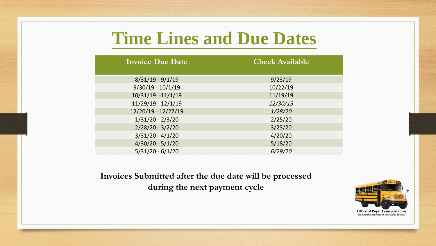# **Time Lines and Due Dates**

| <b>Invoice Due Date</b> | <b>Check Available</b> |
|-------------------------|------------------------|
| $8/31/19 - 9/1/19$      | 9/23/19                |
| $9/30/19 - 10/1/19$     | 10/22/19               |
| 10/31/19 -11/1/19       | 11/19/19               |
| $11/29/19 - 12/1/19$    | 12/30/19               |
| 12/20/19 - 12/27/19     | 1/28/20                |
| $1/31/20 - 2/3/20$      | 2/25/20                |
| $2/28/20 - 3/2/20$      | 3/23/20                |
| $3/31/20 - 4/1/20$      | 4/20/20                |
| $4/30/20 - 5/1/20$      | 5/18/20                |
| $5/31/20 - 6/1/20$      | 6/29/20                |

**Invoices Submitted after the due date will be processed during the next payment cycle**